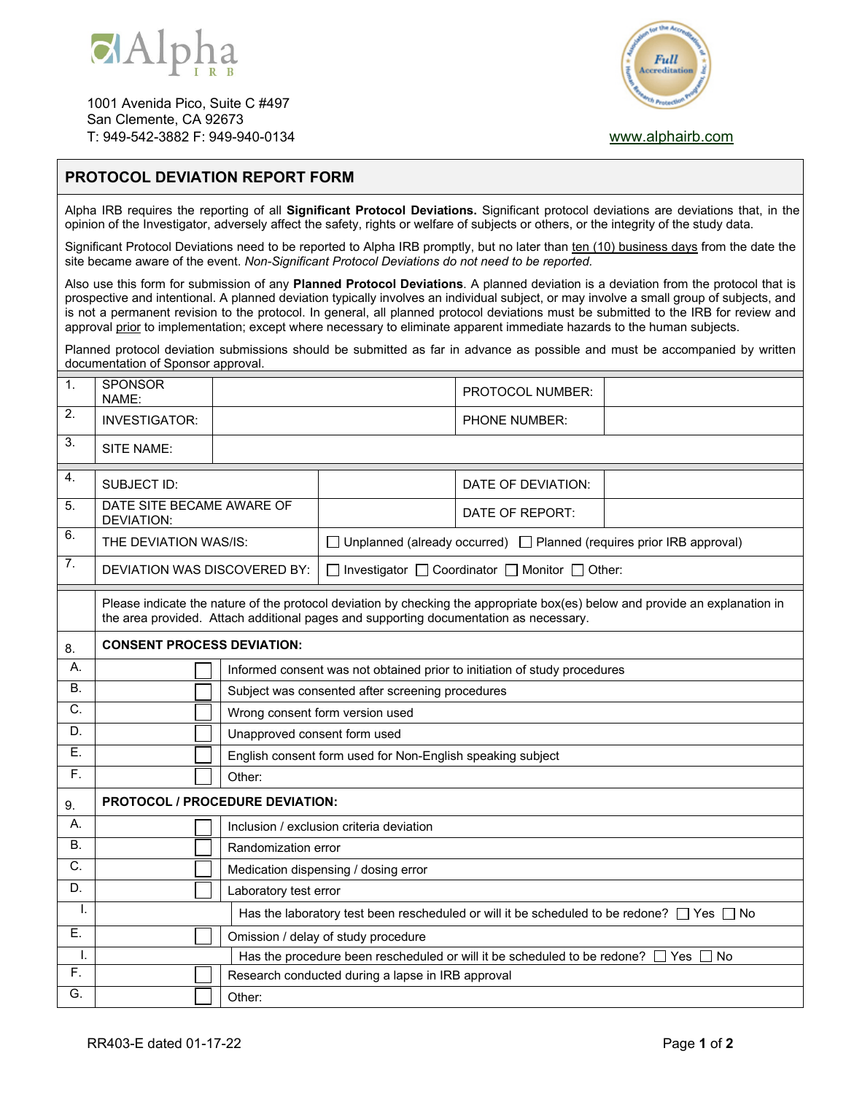

1001 Avenida Pico, Suite C #497 San Clemente, CA 92673 T: 949-542-3882 F: 949-940-0134 www.alphairb.com



## **PROTOCOL DEVIATION REPORT FORM**

Alpha IRB requires the reporting of all **Significant Protocol Deviations.** Significant protocol deviations are deviations that, in the opinion of the Investigator, adversely affect the safety, rights or welfare of subjects or others, or the integrity of the study data.

Significant Protocol Deviations need to be reported to Alpha IRB promptly, but no later than ten (10) business days from the date the site became aware of the event. *Non-Significant Protocol Deviations do not need to be reported.* 

Also use this form for submission of any **Planned Protocol Deviations**. A planned deviation is a deviation from the protocol that is prospective and intentional. A planned deviation typically involves an individual subject, or may involve a small group of subjects, and is not a permanent revision to the protocol. In general, all planned protocol deviations must be submitted to the IRB for review and approval prior to implementation; except where necessary to eliminate apparent immediate hazards to the human subjects.

Planned protocol deviation submissions should be submitted as far in advance as possible and must be accompanied by written documentation of Sponsor approval.

| $\mathbf{1}$ .     | <b>SPONSOR</b><br>NAME:                                                                                                                                                                                               |                                                                           |                                                                                  | PROTOCOL NUMBER:     |  |  |
|--------------------|-----------------------------------------------------------------------------------------------------------------------------------------------------------------------------------------------------------------------|---------------------------------------------------------------------------|----------------------------------------------------------------------------------|----------------------|--|--|
| 2.                 | <b>INVESTIGATOR:</b>                                                                                                                                                                                                  |                                                                           |                                                                                  | <b>PHONE NUMBER:</b> |  |  |
| 3.                 | SITE NAME:                                                                                                                                                                                                            |                                                                           |                                                                                  |                      |  |  |
| $\boldsymbol{4}$ . | SUBJECT ID:                                                                                                                                                                                                           |                                                                           |                                                                                  | DATE OF DEVIATION:   |  |  |
| 5.                 | DATE SITE BECAME AWARE OF<br><b>DEVIATION:</b>                                                                                                                                                                        |                                                                           |                                                                                  | DATE OF REPORT:      |  |  |
| 6.                 | THE DEVIATION WAS/IS:                                                                                                                                                                                                 |                                                                           | $\Box$ Unplanned (already occurred) $\Box$ Planned (requires prior IRB approval) |                      |  |  |
| $\overline{7}$ .   | DEVIATION WAS DISCOVERED BY:                                                                                                                                                                                          |                                                                           | □ Investigator □ Coordinator □ Monitor □ Other:                                  |                      |  |  |
|                    | Please indicate the nature of the protocol deviation by checking the appropriate box(es) below and provide an explanation in<br>the area provided. Attach additional pages and supporting documentation as necessary. |                                                                           |                                                                                  |                      |  |  |
| 8.                 | <b>CONSENT PROCESS DEVIATION:</b>                                                                                                                                                                                     |                                                                           |                                                                                  |                      |  |  |
| А.                 |                                                                                                                                                                                                                       | Informed consent was not obtained prior to initiation of study procedures |                                                                                  |                      |  |  |
| <b>B.</b>          |                                                                                                                                                                                                                       | Subject was consented after screening procedures                          |                                                                                  |                      |  |  |
| C.                 |                                                                                                                                                                                                                       | Wrong consent form version used                                           |                                                                                  |                      |  |  |
| D.                 |                                                                                                                                                                                                                       | Unapproved consent form used                                              |                                                                                  |                      |  |  |
| Ε.                 |                                                                                                                                                                                                                       | English consent form used for Non-English speaking subject                |                                                                                  |                      |  |  |
| $\overline{F}$ .   |                                                                                                                                                                                                                       | Other:                                                                    |                                                                                  |                      |  |  |
| 9.                 |                                                                                                                                                                                                                       | <b>PROTOCOL / PROCEDURE DEVIATION:</b>                                    |                                                                                  |                      |  |  |
| А.                 |                                                                                                                                                                                                                       | Inclusion / exclusion criteria deviation                                  |                                                                                  |                      |  |  |
| Β.                 |                                                                                                                                                                                                                       | Randomization error                                                       |                                                                                  |                      |  |  |
| C.                 |                                                                                                                                                                                                                       | Medication dispensing / dosing error                                      |                                                                                  |                      |  |  |
| D.                 |                                                                                                                                                                                                                       | Laboratory test error                                                     |                                                                                  |                      |  |  |
| I.                 | Has the laboratory test been rescheduled or will it be scheduled to be redone? $\Box$ Yes $\Box$ No                                                                                                                   |                                                                           |                                                                                  |                      |  |  |
| E.                 | Omission / delay of study procedure                                                                                                                                                                                   |                                                                           |                                                                                  |                      |  |  |
| Ι.                 | Has the procedure been rescheduled or will it be scheduled to be redone? [<br>Yes<br><b>No</b>                                                                                                                        |                                                                           |                                                                                  |                      |  |  |
| $\overline{F}$ .   |                                                                                                                                                                                                                       | Research conducted during a lapse in IRB approval                         |                                                                                  |                      |  |  |
| G.                 |                                                                                                                                                                                                                       | Other:                                                                    |                                                                                  |                      |  |  |